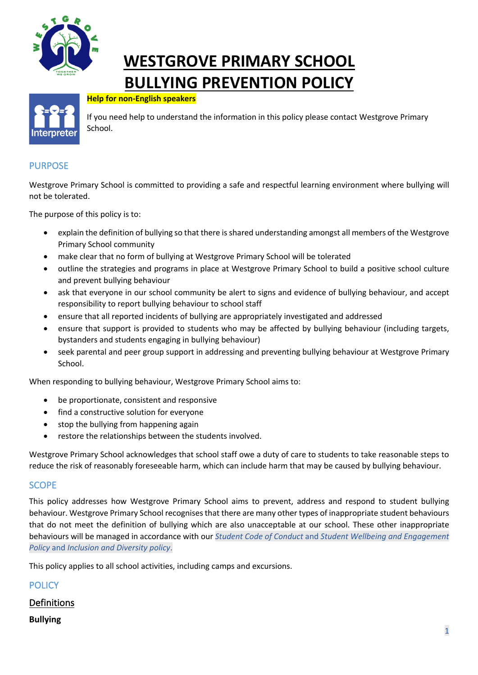

# **WESTGROVE PRIMARY SCHOOL BULLYING PREVENTION POLICY**



#### **Help for non-English speakers**

If you need help to understand the information in this policy please contact Westgrove Primary School.

### PURPOSE

Westgrove Primary School is committed to providing a safe and respectful learning environment where bullying will not be tolerated.

The purpose of this policy is to:

- explain the definition of bullying so that there is shared understanding amongst all members of the Westgrove Primary School community
- make clear that no form of bullying at Westgrove Primary School will be tolerated
- outline the strategies and programs in place at Westgrove Primary School to build a positive school culture and prevent bullying behaviour
- ask that everyone in our school community be alert to signs and evidence of bullying behaviour, and accept responsibility to report bullying behaviour to school staff
- ensure that all reported incidents of bullying are appropriately investigated and addressed
- ensure that support is provided to students who may be affected by bullying behaviour (including targets, bystanders and students engaging in bullying behaviour)
- seek parental and peer group support in addressing and preventing bullying behaviour at Westgrove Primary School.

When responding to bullying behaviour, Westgrove Primary School aims to:

- be proportionate, consistent and responsive
- find a constructive solution for everyone
- stop the bullying from happening again
- restore the relationships between the students involved.

Westgrove Primary School acknowledges that school staff owe a duty of care to students to take reasonable steps to reduce the risk of reasonably foreseeable harm, which can include harm that may be caused by bullying behaviour.

#### **SCOPE**

This policy addresses how Westgrove Primary School aims to prevent, address and respond to student bullying behaviour. Westgrove Primary School recognises that there are many other types of inappropriate student behaviours that do not meet the definition of bullying which are also unacceptable at our school. These other inappropriate behaviours will be managed in accordance with our *Student Code of Conduct* and *Student Wellbeing and Engagement Policy* and *Inclusion and Diversity policy*.

This policy applies to all school activities, including camps and excursions.

| <b>POLICY</b>   |  |
|-----------------|--|
| Definitions     |  |
| <b>Bullying</b> |  |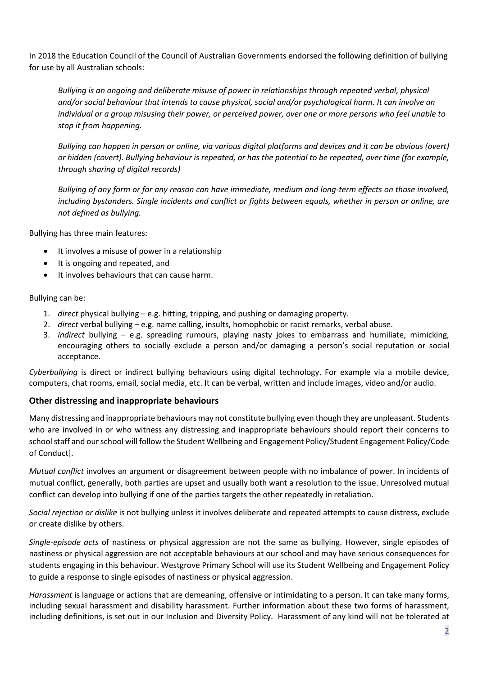In 2018 the Education Council of the Council of Australian Governments endorsed the following definition of bullying for use by all Australian schools:

*Bullying is an ongoing and deliberate misuse of power in relationships through repeated verbal, physical and/or social behaviour that intends to cause physical, social and/or psychological harm. It can involve an individual or a group misusing their power, or perceived power, over one or more persons who feel unable to stop it from happening.*

*Bullying can happen in person or online, via various digital platforms and devices and it can be obvious (overt) or hidden (covert). Bullying behaviour is repeated, or has the potential to be repeated, over time (for example, through sharing of digital records)*

*Bullying of any form or for any reason can have immediate, medium and long-term effects on those involved, including bystanders. Single incidents and conflict or fights between equals, whether in person or online, are not defined as bullying.*

Bullying has three main features:

- It involves a misuse of power in a relationship
- It is ongoing and repeated, and
- It involves behaviours that can cause harm.

#### Bullying can be:

- 1. *direct* physical bullying e.g. hitting, tripping, and pushing or damaging property.
- 2. *direct* verbal bullying e.g. name calling, insults, homophobic or racist remarks, verbal abuse.
- 3. *indirect* bullying e.g. spreading rumours, playing nasty jokes to embarrass and humiliate, mimicking, encouraging others to socially exclude a person and/or damaging a person's social reputation or social acceptance.

*Cyberbullying* is direct or indirect bullying behaviours using digital technology. For example via a mobile device, computers, chat rooms, email, social media, etc. It can be verbal, written and include images, video and/or audio.

#### **Other distressing and inappropriate behaviours**

Many distressing and inappropriate behaviours may not constitute bullying even though they are unpleasant. Students who are involved in or who witness any distressing and inappropriate behaviours should report their concerns to school staff and our school will follow the Student Wellbeing and Engagement Policy/Student Engagement Policy/Code of Conduct].

*Mutual conflict* involves an argument or disagreement between people with no imbalance of power. In incidents of mutual conflict, generally, both parties are upset and usually both want a resolution to the issue. Unresolved mutual conflict can develop into bullying if one of the parties targets the other repeatedly in retaliation.

*Social rejection or dislike* is not bullying unless it involves deliberate and repeated attempts to cause distress, exclude or create dislike by others.

*Single-episode acts* of nastiness or physical aggression are not the same as bullying. However, single episodes of nastiness or physical aggression are not acceptable behaviours at our school and may have serious consequences for students engaging in this behaviour. Westgrove Primary School will use its Student Wellbeing and Engagement Policy to guide a response to single episodes of nastiness or physical aggression.

*Harassment* is language or actions that are demeaning, offensive or intimidating to a person. It can take many forms, including sexual harassment and disability harassment. Further information about these two forms of harassment, including definitions, is set out in our Inclusion and Diversity Policy. Harassment of any kind will not be tolerated at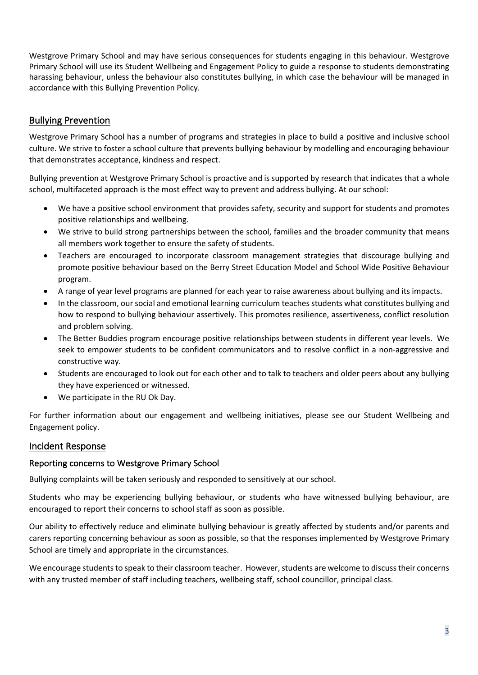Westgrove Primary School and may have serious consequences for students engaging in this behaviour. Westgrove Primary School will use its Student Wellbeing and Engagement Policy to guide a response to students demonstrating harassing behaviour, unless the behaviour also constitutes bullying, in which case the behaviour will be managed in accordance with this Bullying Prevention Policy.

# Bullying Prevention

Westgrove Primary School has a number of programs and strategies in place to build a positive and inclusive school culture. We strive to foster a school culture that prevents bullying behaviour by modelling and encouraging behaviour that demonstrates acceptance, kindness and respect.

Bullying prevention at Westgrove Primary School is proactive and is supported by research that indicates that a whole school, multifaceted approach is the most effect way to prevent and address bullying. At our school:

- We have a positive school environment that provides safety, security and support for students and promotes positive relationships and wellbeing.
- We strive to build strong partnerships between the school, families and the broader community that means all members work together to ensure the safety of students.
- Teachers are encouraged to incorporate classroom management strategies that discourage bullying and promote positive behaviour based on the Berry Street Education Model and School Wide Positive Behaviour program.
- A range of year level programs are planned for each year to raise awareness about bullying and its impacts.
- In the classroom, our social and emotional learning curriculum teaches students what constitutes bullying and how to respond to bullying behaviour assertively. This promotes resilience, assertiveness, conflict resolution and problem solving.
- The Better Buddies program encourage positive relationships between students in different year levels. We seek to empower students to be confident communicators and to resolve conflict in a non-aggressive and constructive way.
- Students are encouraged to look out for each other and to talk to teachers and older peers about any bullying they have experienced or witnessed.
- We participate in the RU Ok Day.

For further information about our engagement and wellbeing initiatives, please see our Student Wellbeing and Engagement policy.

# Incident Response

## Reporting concerns to Westgrove Primary School

Bullying complaints will be taken seriously and responded to sensitively at our school.

Students who may be experiencing bullying behaviour, or students who have witnessed bullying behaviour, are encouraged to report their concerns to school staff as soon as possible.

Our ability to effectively reduce and eliminate bullying behaviour is greatly affected by students and/or parents and carers reporting concerning behaviour as soon as possible, so that the responses implemented by Westgrove Primary School are timely and appropriate in the circumstances.

We encourage students to speak to their classroom teacher. However, students are welcome to discuss their concerns with any trusted member of staff including teachers, wellbeing staff, school councillor, principal class.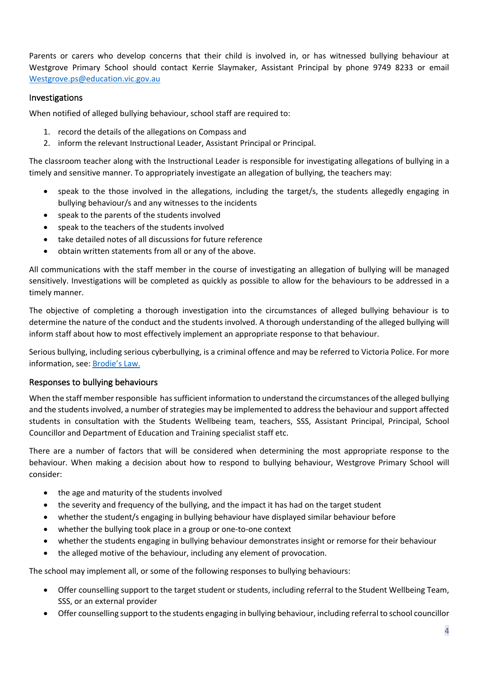Parents or carers who develop concerns that their child is involved in, or has witnessed bullying behaviour at Westgrove Primary School should contact Kerrie Slaymaker, Assistant Principal by phone 9749 8233 or email Westgrove.ps@education.vic.gov.au

#### Investigations

When notified of alleged bullying behaviour, school staff are required to:

- 1. record the details of the allegations on Compass and
- 2. inform the relevant Instructional Leader, Assistant Principal or Principal.

The classroom teacher along with the Instructional Leader is responsible for investigating allegations of bullying in a timely and sensitive manner. To appropriately investigate an allegation of bullying, the teachers may:

- speak to the those involved in the allegations, including the target/s, the students allegedly engaging in bullying behaviour/s and any witnesses to the incidents
- speak to the parents of the students involved
- speak to the teachers of the students involved
- take detailed notes of all discussions for future reference
- obtain written statements from all or any of the above.

All communications with the staff member in the course of investigating an allegation of bullying will be managed sensitively. Investigations will be completed as quickly as possible to allow for the behaviours to be addressed in a timely manner.

The objective of completing a thorough investigation into the circumstances of alleged bullying behaviour is to determine the nature of the conduct and the students involved. A thorough understanding of the alleged bullying will inform staff about how to most effectively implement an appropriate response to that behaviour.

Serious bullying, including serious cyberbullying, is a criminal offence and may be referred to Victoria Police. For more information, see: Brodie's Law.

#### Responses to bullying behaviours

When the staff member responsible has sufficient information to understand the circumstances of the alleged bullying and the students involved, a number of strategies may be implemented to address the behaviour and support affected students in consultation with the Students Wellbeing team, teachers, SSS, Assistant Principal, Principal, School Councillor and Department of Education and Training specialist staff etc.

There are a number of factors that will be considered when determining the most appropriate response to the behaviour. When making a decision about how to respond to bullying behaviour, Westgrove Primary School will consider:

- the age and maturity of the students involved
- the severity and frequency of the bullying, and the impact it has had on the target student
- whether the student/s engaging in bullying behaviour have displayed similar behaviour before
- whether the bullying took place in a group or one-to-one context
- whether the students engaging in bullying behaviour demonstrates insight or remorse for their behaviour
- the alleged motive of the behaviour, including any element of provocation.

The school may implement all, or some of the following responses to bullying behaviours:

- Offer counselling support to the target student or students, including referral to the Student Wellbeing Team, SSS, or an external provider
- Offer counselling support to the students engaging in bullying behaviour, including referral to school councillor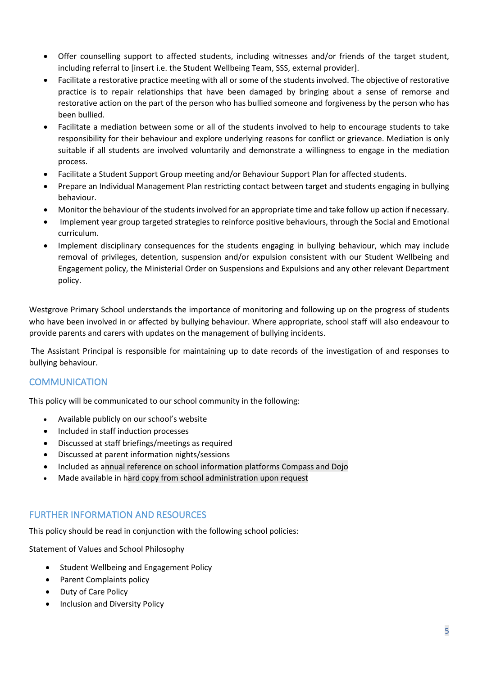- Offer counselling support to affected students, including witnesses and/or friends of the target student, including referral to [insert i.e. the Student Wellbeing Team, SSS, external provider].
- Facilitate a restorative practice meeting with all or some of the students involved. The objective of restorative practice is to repair relationships that have been damaged by bringing about a sense of remorse and restorative action on the part of the person who has bullied someone and forgiveness by the person who has been bullied.
- Facilitate a mediation between some or all of the students involved to help to encourage students to take responsibility for their behaviour and explore underlying reasons for conflict or grievance. Mediation is only suitable if all students are involved voluntarily and demonstrate a willingness to engage in the mediation process.
- Facilitate a Student Support Group meeting and/or Behaviour Support Plan for affected students.
- Prepare an Individual Management Plan restricting contact between target and students engaging in bullying behaviour.
- Monitor the behaviour of the students involved for an appropriate time and take follow up action if necessary.
- Implement year group targeted strategies to reinforce positive behaviours, through the Social and Emotional curriculum.
- Implement disciplinary consequences for the students engaging in bullying behaviour, which may include removal of privileges, detention, suspension and/or expulsion consistent with our Student Wellbeing and Engagement policy, the Ministerial Order on Suspensions and Expulsions and any other relevant Department policy.

Westgrove Primary School understands the importance of monitoring and following up on the progress of students who have been involved in or affected by bullying behaviour. Where appropriate, school staff will also endeavour to provide parents and carers with updates on the management of bullying incidents.

The Assistant Principal is responsible for maintaining up to date records of the investigation of and responses to bullying behaviour.

## **COMMUNICATION**

This policy will be communicated to our school community in the following:

- Available publicly on our school's website
- Included in staff induction processes
- Discussed at staff briefings/meetings as required
- Discussed at parent information nights/sessions
- Included as annual reference on school information platforms Compass and Dojo
- Made available in hard copy from school administration upon request

## FURTHER INFORMATION AND RESOURCES

This policy should be read in conjunction with the following school policies:

Statement of Values and School Philosophy

- Student Wellbeing and Engagement Policy
- Parent Complaints policy
- Duty of Care Policy
- Inclusion and Diversity Policy